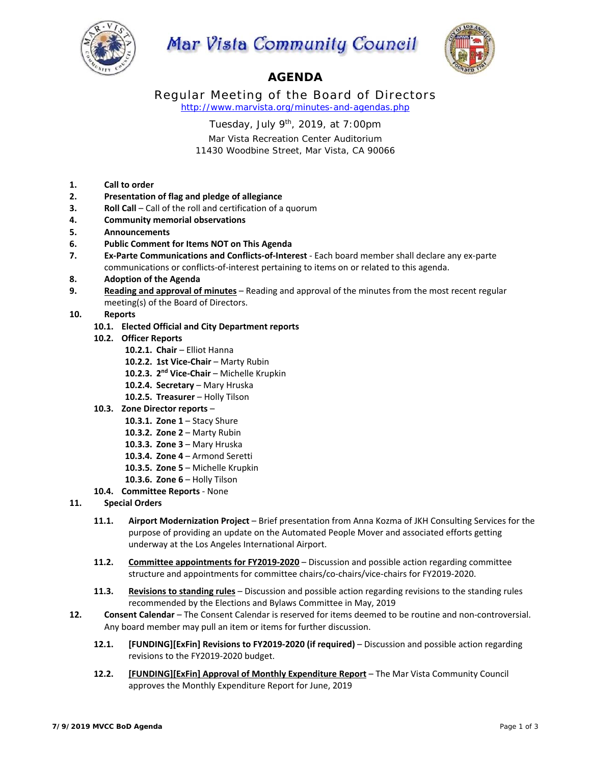

# Mar Vista Community Council



## **AGENDA**

Regular Meeting of the Board of Directors *http://www.marvista.org/minutes-and-agendas.php* 

Tuesday, July  $9<sup>th</sup>$ , 2019, at 7:00pm

Mar Vista Recreation Center Auditorium 11430 Woodbine Street, Mar Vista, CA 90066

- **1. Call to order**
- **2. Presentation of flag and pledge of allegiance**
- **3. Roll Call** Call of the roll and certification of a quorum
- **4. Community memorial observations**
- **5. Announcements**
- **6. Public Comment for Items NOT on This Agenda**
- **7. Ex‐Parte Communications and Conflicts‐of‐Interest** ‐ Each board member shall declare any ex‐parte communications or conflicts‐of‐interest pertaining to items on or related to this agenda.
- **8. Adoption of the Agenda**
- **9. Reading and approval of minutes** Reading and approval of the minutes from the most recent regular meeting(s) of the Board of Directors.
- **10. Reports** 
	- **10.1. Elected Official and City Department reports**
	- **10.2. Officer Reports** 
		- **10.2.1. Chair**  Elliot Hanna
		- 10.2.2. 1st Vice-Chair Marty Rubin
		- **10.2.3. 2nd Vice‐Chair**  Michelle Krupkin
		- 10.2.4. **Secretary** Mary Hruska
		- **10.2.5. Treasurer**  Holly Tilson
	- **10.3. Zone Director reports** 
		- **10.3.1. Zone 1 Stacy Shure**
		- **10.3.2. Zone 2**  Marty Rubin
		- **10.3.3. Zone 3**  Mary Hruska
		- **10.3.4. Zone 4**  Armond Seretti
		- **10.3.5. Zone 5**  Michelle Krupkin
		- **10.3.6. Zone 6**  Holly Tilson
	- **10.4. Committee Reports** ‐ None
- **11. Special Orders** 
	- **11.1. Airport Modernization Project**  Brief presentation from Anna Kozma of JKH Consulting Services for the purpose of providing an update on the Automated People Mover and associated efforts getting underway at the Los Angeles International Airport.
	- **11.2. Committee appointments for FY2019‐2020** Discussion and possible action regarding committee structure and appointments for committee chairs/co‐chairs/vice‐chairs for FY2019‐2020.
	- **11.3. Revisions to standing rules**  Discussion and possible action regarding revisions to the standing rules recommended by the Elections and Bylaws Committee in May, 2019
- 12. **Consent Calendar** The Consent Calendar is reserved for items deemed to be routine and non-controversial. Any board member may pull an item or items for further discussion.
	- **12.1. [FUNDING][ExFin] Revisions to FY2019‐2020 (if required)**  Discussion and possible action regarding revisions to the FY2019‐2020 budget.
	- **12.2. [FUNDING][ExFin] Approval of Monthly Expenditure Report**  The Mar Vista Community Council approves the Monthly Expenditure Report for June, 2019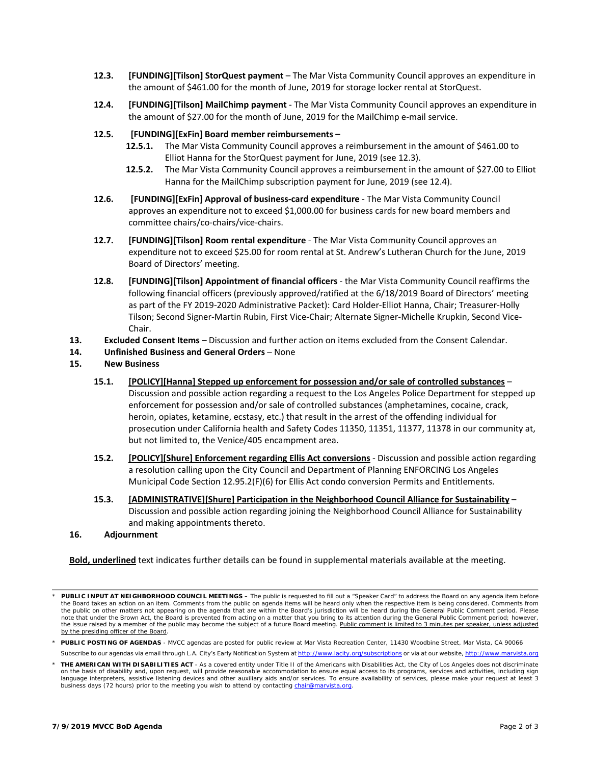- **12.3. [FUNDING][Tilson] StorQuest payment**  The Mar Vista Community Council approves an expenditure in the amount of \$461.00 for the month of June, 2019 for storage locker rental at StorQuest.
- **12.4. [FUNDING][Tilson] MailChimp payment** ‐ The Mar Vista Community Council approves an expenditure in the amount of \$27.00 for the month of June, 2019 for the MailChimp e-mail service.

### **12.5. [FUNDING][ExFin] Board member reimbursements –**

- **12.5.1.** The Mar Vista Community Council approves a reimbursement in the amount of \$461.00 to Elliot Hanna for the StorQuest payment for June, 2019 (see 12.3).
- **12.5.2.** The Mar Vista Community Council approves a reimbursement in the amount of \$27.00 to Elliot Hanna for the MailChimp subscription payment for June, 2019 (see 12.4).
- **12.6. [FUNDING][ExFin] Approval of business‐card expenditure** ‐ The Mar Vista Community Council approves an expenditure not to exceed \$1,000.00 for business cards for new board members and committee chairs/co‐chairs/vice‐chairs.
- **12.7. [FUNDING][Tilson] Room rental expenditure** ‐ The Mar Vista Community Council approves an expenditure not to exceed \$25.00 for room rental at St. Andrew's Lutheran Church for the June, 2019 Board of Directors' meeting.
- **12.8. [FUNDING][Tilson] Appointment of financial officers** ‐ the Mar Vista Community Council reaffirms the following financial officers (previously approved/ratified at the 6/18/2019 Board of Directors' meeting as part of the FY 2019‐2020 Administrative Packet): Card Holder‐Elliot Hanna, Chair; Treasurer‐Holly Tilson; Second Signer‐Martin Rubin, First Vice‐Chair; Alternate Signer‐Michelle Krupkin, Second Vice‐ Chair.
- **13. Excluded Consent Items**  Discussion and further action on items excluded from the Consent Calendar.

### **14. Unfinished Business and General Orders** – None

- **15. New Business** 
	- **15.1. [POLICY][Hanna] Stepped up enforcement for possession and/or sale of controlled substances**  Discussion and possible action regarding a request to the Los Angeles Police Department for stepped up enforcement for possession and/or sale of controlled substances (amphetamines, cocaine, crack, heroin, opiates, ketamine, ecstasy, etc.) that result in the arrest of the offending individual for prosecution under California health and Safety Codes 11350, 11351, 11377, 11378 in our community at, but not limited to, the Venice/405 encampment area.
	- **15.2. [POLICY][Shure] Enforcement regarding Ellis Act conversions** ‐ Discussion and possible action regarding a resolution calling upon the City Council and Department of Planning ENFORCING Los Angeles Municipal Code Section 12.95.2(F)(6) for Ellis Act condo conversion Permits and Entitlements.
	- **15.3. [ADMINISTRATIVE][Shure] Participation in the Neighborhood Council Alliance for Sustainability**  Discussion and possible action regarding joining the Neighborhood Council Alliance for Sustainability and making appointments thereto.

### **16. Adjournment**

**Bold, underlined** text indicates further details can be found in supplemental materials available at the meeting.

*<sup>\*</sup> PUBLIC INPUT AT NEIGHBORHOOD COUNCIL MEETINGS – The public is requested to fill out a "Speaker Card" to address the Board on any agenda item before the Board takes an action on an item. Comments from the public on agenda items will be heard only when the respective item is being considered. Comments from the public on other matters not appearing on the agenda that are within the Board's jurisdiction will be heard during the General Public Comment period. Please note that under the Brown Act, the Board is prevented from acting on a matter that you bring to its attention during the General Public Comment period; however,*  the issue raised by a member of the public may become the subject of a future Board meeting. Public comment is limited to 3 minutes per speaker, unless adjusted *by the presiding officer of the Board.* 

*<sup>\*</sup> PUBLIC POSTING OF AGENDAS - MVCC agendas are posted for public review at Mar Vista Recreation Center, 11430 Woodbine Street, Mar Vista, CA 90066*

*Subscribe to our agendas via email through L.A. City's Early Notification System at http://www.lacity.org/subscriptions or via at our website, http://www.marvista.org*

*<sup>\*</sup> THE AMERICAN WITH DISABILITIES ACT - As a covered entity under Title II of the Americans with Disabilities Act, the City of Los Angeles does not discriminate on the basis of disability and, upon request, will provide reasonable accommodation to ensure equal access to its programs, services and activities, including sign language interpreters, assistive listening devices and other auxiliary aids and/or services. To ensure availability of services, please make your request at least 3 business days (72 hours) prior to the meeting you wish to attend by contacting chair@marvista.org.*